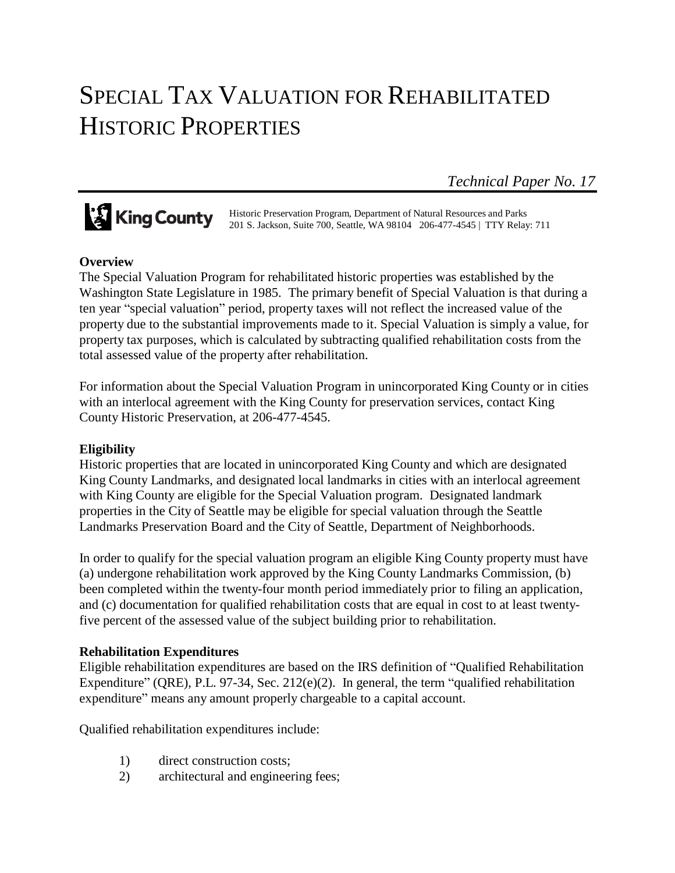# SPECIAL TAX VALUATION FOR REHABILITATED HISTORIC PROPERTIES

*Technical Paper No. 17*

**King County** Historic Preservation Program, Department of Natural Resources and Parks<br>2018 Jackson, Suite 700, Seattle, WA 98104 206-477-4545 | TTY Relay 201 S. Jackson, Suite 700, Seattle, WA 98104 206-477-4545 | TTY Relay: 711

# **Overview**

The Special Valuation Program for rehabilitated historic properties was established by the Washington State Legislature in 1985. The primary benefit of Special Valuation is that during a ten year "special valuation" period, property taxes will not reflect the increased value of the property due to the substantial improvements made to it. Special Valuation is simply a value, for property tax purposes, which is calculated by subtracting qualified rehabilitation costs from the total assessed value of the property after rehabilitation.

For information about the Special Valuation Program in unincorporated King County or in cities with an interlocal agreement with the King County for preservation services, contact King County Historic Preservation, at 206-477-4545.

# **Eligibility**

Historic properties that are located in unincorporated King County and which are designated King County Landmarks, and designated local landmarks in cities with an interlocal agreement with King County are eligible for the Special Valuation program. Designated landmark properties in the City of Seattle may be eligible for special valuation through the Seattle Landmarks Preservation Board and the City of Seattle, Department of Neighborhoods.

In order to qualify for the special valuation program an eligible King County property must have (a) undergone rehabilitation work approved by the King County Landmarks Commission, (b) been completed within the twenty-four month period immediately prior to filing an application, and (c) documentation for qualified rehabilitation costs that are equal in cost to at least twentyfive percent of the assessed value of the subject building prior to rehabilitation.

# **Rehabilitation Expenditures**

Eligible rehabilitation expenditures are based on the IRS definition of "Qualified Rehabilitation Expenditure" (QRE), P.L. 97-34, Sec. 212(e)(2). In general, the term "qualified rehabilitation expenditure" means any amount properly chargeable to a capital account.

Qualified rehabilitation expenditures include:

- 1) direct construction costs;
- 2) architectural and engineering fees;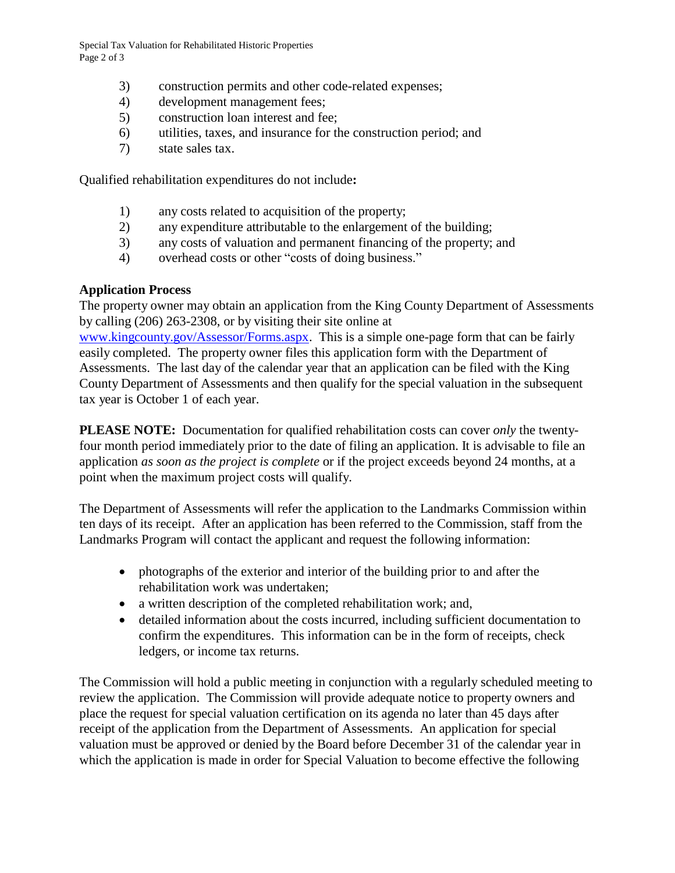Special Tax Valuation for Rehabilitated Historic Properties Page 2 of 3

- 3) construction permits and other code-related expenses;
- 4) development management fees;
- 5) construction loan interest and fee;
- 6) utilities, taxes, and insurance for the construction period; and
- 7) state sales tax.

Qualified rehabilitation expenditures do not include**:**

- 1) any costs related to acquisition of the property;
- 2) any expenditure attributable to the enlargement of the building;
- 3) any costs of valuation and permanent financing of the property; and
- 4) overhead costs or other "costs of doing business."

#### **Application Process**

The property owner may obtain an application from the King County Department of Assessments by calling (206) 263-2308, or by visiting their site online at

[www.kingcounty.gov/Assessor/Forms.aspx.](http://www.kingcounty.gov/Assessor/Forms.aspx) This is a simple one-page form that can be fairly easily completed. The property owner files this application form with the Department of Assessments. The last day of the calendar year that an application can be filed with the King County Department of Assessments and then qualify for the special valuation in the subsequent tax year is October 1 of each year.

**PLEASE NOTE:** Documentation for qualified rehabilitation costs can cover *only* the twentyfour month period immediately prior to the date of filing an application. It is advisable to file an application *as soon as the project is complete* or if the project exceeds beyond 24 months, at a point when the maximum project costs will qualify.

The Department of Assessments will refer the application to the Landmarks Commission within ten days of its receipt. After an application has been referred to the Commission, staff from the Landmarks Program will contact the applicant and request the following information:

- photographs of the exterior and interior of the building prior to and after the rehabilitation work was undertaken;
- a written description of the completed rehabilitation work; and,
- detailed information about the costs incurred, including sufficient documentation to confirm the expenditures. This information can be in the form of receipts, check ledgers, or income tax returns.

The Commission will hold a public meeting in conjunction with a regularly scheduled meeting to review the application. The Commission will provide adequate notice to property owners and place the request for special valuation certification on its agenda no later than 45 days after receipt of the application from the Department of Assessments. An application for special valuation must be approved or denied by the Board before December 31 of the calendar year in which the application is made in order for Special Valuation to become effective the following